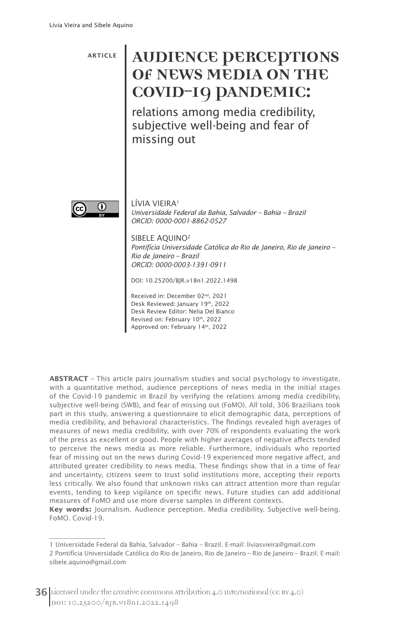ARTICLE

## **AUDIENCE PERCEPTIONS OF NEWS MEDIA ON THE COVID-19 PANDEMIC:**

relations among media credibility, subjective well-being and fear of missing out



 $\overline{\phantom{a}}$ 

LÍVIA VIEIRA<sup>1</sup> *Universidade Federal da Bahia, Salvador – Bahia – Brazil ORCID: 0000-0001-8862-0527*

SIBELE AQUINO2 *Pontifícia Universidade Católica do Rio de Janeiro, Rio de Janeiro – Rio de Janeiro – Brazil ORCID: 0000-0003-1391-0911*

DOI: 10.25200/BJR.v18n1.2022.1498

Received in: December 02nd, 2021 Desk Reviewed: January 19th, 2022 Desk Review Editor: Nelia Del Bianco Revised on: February 10th, 2022 Approved on: February 14th, 2022

**ABSTRACT** – This article pairs journalism studies and social psychology to investigate, with a quantitative method, audience perceptions of news media in the initial stages of the Covid-19 pandemic in Brazil by verifying the relations among media credibility, subjective well-being (SWB), and fear of missing out (FoMO). All told, 306 Brazilians took part in this study, answering a questionnaire to elicit demographic data, perceptions of media credibility, and behavioral characteristics. The findings revealed high averages of measures of news media credibility, with over 70% of respondents evaluating the work of the press as excellent or good. People with higher averages of negative affects tended to perceive the news media as more reliable. Furthermore, individuals who reported fear of missing out on the news during Covid-19 experienced more negative affect, and attributed greater credibility to news media. These findings show that in a time of fear and uncertainty, citizens seem to trust solid institutions more, accepting their reports less critically. We also found that unknown risks can attract attention more than regular events, tending to keep vigilance on specific news. Future studies can add additional measures of FoMO and use more diverse samples in different contexts.

**Key words:** Journalism. Audience perception. Media credibility. Subjective well-being. FoMO. Covid-19.

<sup>1</sup> Universidade Federal da Bahia, Salvador – Bahia – Brazil. E-mail: liviasvieira@gmail.com

<sup>2</sup> Pontifícia Universidade Católica do Rio de Janeiro, Rio de Janeiro – Rio de Janeiro – Brazil. E-mail: sibele.aquino@gmail.com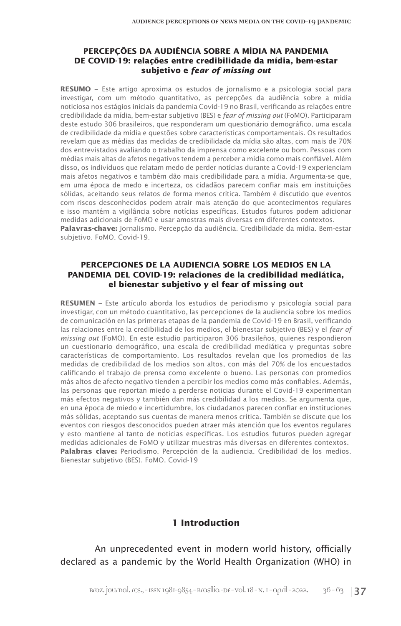#### **PERCEPÇÕES DA AUDIÊNCIA SOBRE A MÍDIA NA PANDEMIA DE COVID-19: relações entre credibilidade da mídia, bem-estar subjetivo e** *fear of missing out*

**RESUMO –** Este artigo aproxima os estudos de jornalismo e a psicologia social para investigar, com um método quantitativo, as percepções da audiência sobre a mídia noticiosa nos estágios iniciais da pandemia Covid-19 no Brasil, verificando as relações entre credibilidade da mídia, bem-estar subjetivo (BES) e *fear of missing out* (FoMO). Participaram deste estudo 306 brasileiros, que responderam um questionário demográfico, uma escala de credibilidade da mídia e questões sobre características comportamentais. Os resultados revelam que as médias das medidas de credibilidade da mídia são altas, com mais de 70% dos entrevistados avaliando o trabalho da imprensa como excelente ou bom. Pessoas com médias mais altas de afetos negativos tendem a perceber a mídia como mais confiável. Além disso, os indivíduos que relatam medo de perder notícias durante a Covid-19 experienciam mais afetos negativos e também dão mais credibilidade para a mídia. Argumenta-se que, em uma época de medo e incerteza, os cidadãos parecem confiar mais em instituições sólidas, aceitando seus relatos de forma menos crítica. Também é discutido que eventos com riscos desconhecidos podem atrair mais atenção do que acontecimentos regulares e isso mantém a vigilância sobre notícias específicas. Estudos futuros podem adicionar medidas adicionais de FoMO e usar amostras mais diversas em diferentes contextos. **Palavras-chave:** Jornalismo. Percepção da audiência. Credibilidade da mídia. Bem-estar subjetivo. FoMO. Covid-19.

#### **PERCEPCIONES DE LA AUDIENCIA SOBRE LOS MEDIOS EN LA PANDEMIA DEL COVID-19: relaciones de la credibilidad mediática, el bienestar subjetivo y el fear of missing out**

**RESUMEN –** Este artículo aborda los estudios de periodismo y psicología social para investigar, con un método cuantitativo, las percepciones de la audiencia sobre los medios de comunicación en las primeras etapas de la pandemia de Covid-19 en Brasil, verificando las relaciones entre la credibilidad de los medios, el bienestar subjetivo (BES) y el *fear of missing out* (FoMO). En este estudio participaron 306 brasileños, quienes respondieron un cuestionario demográfico, una escala de credibilidad mediática y preguntas sobre características de comportamiento. Los resultados revelan que los promedios de las medidas de credibilidad de los medios son altos, con más del 70% de los encuestados calificando el trabajo de prensa como excelente o bueno. Las personas con promedios más altos de afecto negativo tienden a percibir los medios como más confiables. Además, las personas que reportan miedo a perderse noticias durante el Covid-19 experimentan más efectos negativos y también dan más credibilidad a los medios. Se argumenta que, en una época de miedo e incertidumbre, los ciudadanos parecen confiar en instituciones más sólidas, aceptando sus cuentas de manera menos crítica. También se discute que los eventos con riesgos desconocidos pueden atraer más atención que los eventos regulares y esto mantiene al tanto de noticias específicas. Los estudios futuros pueden agregar medidas adicionales de FoMO y utilizar muestras más diversas en diferentes contextos. **Palabras clave:** Periodismo. Percepción de la audiencia. Credibilidad de los medios. Bienestar subjetivo (BES). FoMO. Covid-19

#### **1 Introduction**

An unprecedented event in modern world history, officially declared as a pandemic by the World Health Organization (WHO) in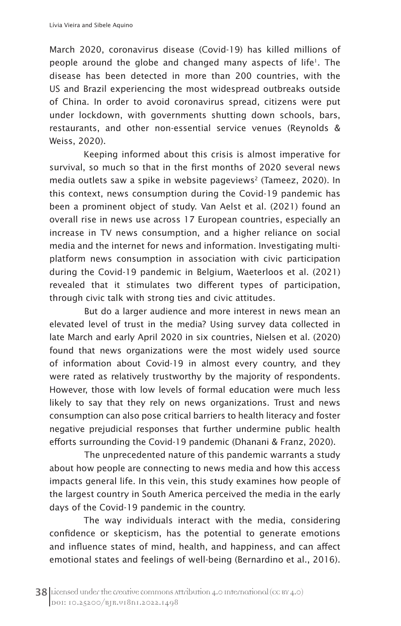March 2020, coronavirus disease (Covid-19) has killed millions of people around the globe and changed many aspects of life<sup>1</sup>. The disease has been detected in more than 200 countries, with the US and Brazil experiencing the most widespread outbreaks outside of China. In order to avoid coronavirus spread, citizens were put under lockdown, with governments shutting down schools, bars, restaurants, and other non-essential service venues (Reynolds & Weiss, 2020).

Keeping informed about this crisis is almost imperative for survival, so much so that in the first months of 2020 several news media outlets saw a spike in website pageviews<sup>2</sup> (Tameez, 2020). In this context, news consumption during the Covid-19 pandemic has been a prominent object of study. Van Aelst et al. (2021) found an overall rise in news use across 17 European countries, especially an increase in TV news consumption, and a higher reliance on social media and the internet for news and information. Investigating multiplatform news consumption in association with civic participation during the Covid-19 pandemic in Belgium, Waeterloos et al. (2021) revealed that it stimulates two different types of participation, through civic talk with strong ties and civic attitudes.

But do a larger audience and more interest in news mean an elevated level of trust in the media? Using survey data collected in late March and early April 2020 in six countries, Nielsen et al. (2020) found that news organizations were the most widely used source of information about Covid-19 in almost every country, and they were rated as relatively trustworthy by the majority of respondents. However, those with low levels of formal education were much less likely to say that they rely on news organizations. Trust and news consumption can also pose critical barriers to health literacy and foster negative prejudicial responses that further undermine public health efforts surrounding the Covid-19 pandemic (Dhanani & Franz, 2020).

The unprecedented nature of this pandemic warrants a study about how people are connecting to news media and how this access impacts general life. In this vein, this study examines how people of the largest country in South America perceived the media in the early days of the Covid-19 pandemic in the country.

The way individuals interact with the media, considering confidence or skepticism, has the potential to generate emotions and influence states of mind, health, and happiness, and can affect emotional states and feelings of well-being (Bernardino et al., 2016).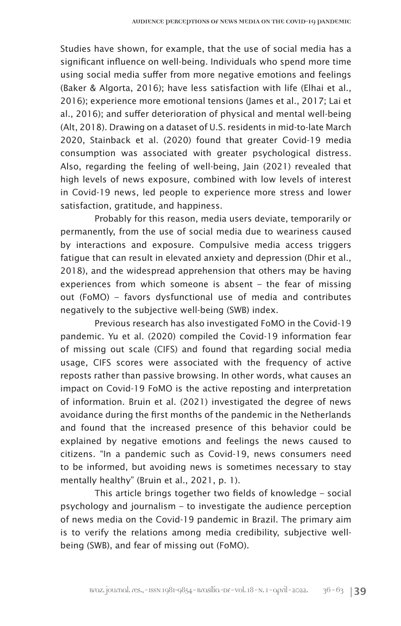Studies have shown, for example, that the use of social media has a significant influence on well-being. Individuals who spend more time using social media suffer from more negative emotions and feelings (Baker & Algorta, 2016); have less satisfaction with life (Elhai et al., 2016); experience more emotional tensions (James et al., 2017; Lai et al., 2016); and suffer deterioration of physical and mental well-being (Alt, 2018). Drawing on a dataset of U.S. residents in mid-to-late March 2020, Stainback et al. (2020) found that greater Covid-19 media consumption was associated with greater psychological distress. Also, regarding the feeling of well-being, Jain (2021) revealed that high levels of news exposure, combined with low levels of interest in Covid-19 news, led people to experience more stress and lower satisfaction, gratitude, and happiness.

Probably for this reason, media users deviate, temporarily or permanently, from the use of social media due to weariness caused by interactions and exposure. Compulsive media access triggers fatigue that can result in elevated anxiety and depression (Dhir et al., 2018), and the widespread apprehension that others may be having experiences from which someone is absent – the fear of missing out (FoMO) – favors dysfunctional use of media and contributes negatively to the subjective well-being (SWB) index.

Previous research has also investigated FoMO in the Covid-19 pandemic. Yu et al. (2020) compiled the Covid-19 information fear of missing out scale (CIFS) and found that regarding social media usage, CIFS scores were associated with the frequency of active reposts rather than passive browsing. In other words, what causes an impact on Covid-19 FoMO is the active reposting and interpretation of information. Bruin et al. (2021) investigated the degree of news avoidance during the first months of the pandemic in the Netherlands and found that the increased presence of this behavior could be explained by negative emotions and feelings the news caused to citizens. "In a pandemic such as Covid-19, news consumers need to be informed, but avoiding news is sometimes necessary to stay mentally healthy" (Bruin et al., 2021, p. 1).

This article brings together two fields of knowledge – social psychology and journalism – to investigate the audience perception of news media on the Covid-19 pandemic in Brazil. The primary aim is to verify the relations among media credibility, subjective wellbeing (SWB), and fear of missing out (FoMO).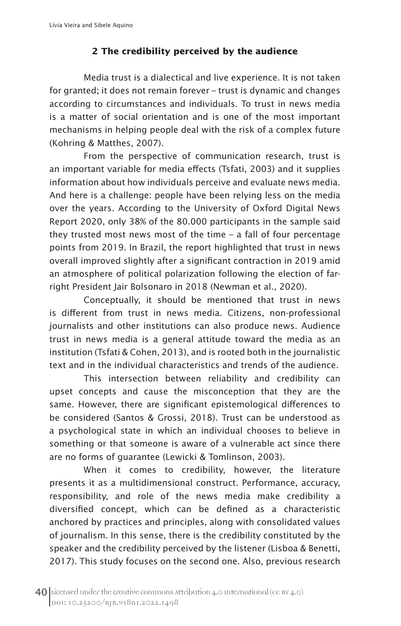## **2 The credibility perceived by the audience**

Media trust is a dialectical and live experience. It is not taken for granted; it does not remain forever – trust is dynamic and changes according to circumstances and individuals. To trust in news media is a matter of social orientation and is one of the most important mechanisms in helping people deal with the risk of a complex future (Kohring & Matthes, 2007).

From the perspective of communication research, trust is an important variable for media effects (Tsfati, 2003) and it supplies information about how individuals perceive and evaluate news media. And here is a challenge: people have been relying less on the media over the years. According to the University of Oxford Digital News Report 2020, only 38% of the 80.000 participants in the sample said they trusted most news most of the time – a fall of four percentage points from 2019. In Brazil, the report highlighted that trust in news overall improved slightly after a significant contraction in 2019 amid an atmosphere of political polarization following the election of farright President Jair Bolsonaro in 2018 (Newman et al., 2020).

Conceptually, it should be mentioned that trust in news is different from trust in news media. Citizens, non-professional journalists and other institutions can also produce news. Audience trust in news media is a general attitude toward the media as an institution (Tsfati & Cohen, 2013), and is rooted both in the journalistic text and in the individual characteristics and trends of the audience.

This intersection between reliability and credibility can upset concepts and cause the misconception that they are the same. However, there are significant epistemological differences to be considered (Santos & Grossi, 2018). Trust can be understood as a psychological state in which an individual chooses to believe in something or that someone is aware of a vulnerable act since there are no forms of guarantee (Lewicki & Tomlinson, 2003).

When it comes to credibility, however, the literature presents it as a multidimensional construct. Performance, accuracy, responsibility, and role of the news media make credibility a diversified concept, which can be defined as a characteristic anchored by practices and principles, along with consolidated values of journalism. In this sense, there is the credibility constituted by the speaker and the credibility perceived by the listener (Lisboa & Benetti, 2017). This study focuses on the second one. Also, previous research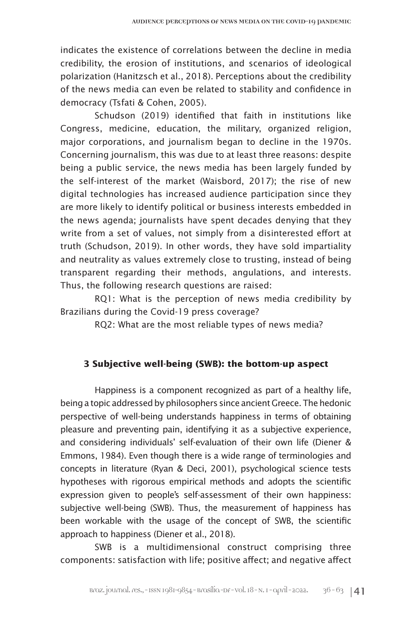indicates the existence of correlations between the decline in media credibility, the erosion of institutions, and scenarios of ideological polarization (Hanitzsch et al., 2018). Perceptions about the credibility of the news media can even be related to stability and confidence in democracy (Tsfati & Cohen, 2005).

Schudson (2019) identified that faith in institutions like Congress, medicine, education, the military, organized religion, major corporations, and journalism began to decline in the 1970s. Concerning journalism, this was due to at least three reasons: despite being a public service, the news media has been largely funded by the self-interest of the market (Waisbord, 2017); the rise of new digital technologies has increased audience participation since they are more likely to identify political or business interests embedded in the news agenda; journalists have spent decades denying that they write from a set of values, not simply from a disinterested effort at truth (Schudson, 2019). In other words, they have sold impartiality and neutrality as values extremely close to trusting, instead of being transparent regarding their methods, angulations, and interests. Thus, the following research questions are raised:

RQ1: What is the perception of news media credibility by Brazilians during the Covid-19 press coverage?

RQ2: What are the most reliable types of news media?

## **3 Subjective well-being (SWB): the bottom-up aspect**

Happiness is a component recognized as part of a healthy life, being a topic addressed by philosophers since ancient Greece. The hedonic perspective of well-being understands happiness in terms of obtaining pleasure and preventing pain, identifying it as a subjective experience, and considering individuals' self-evaluation of their own life (Diener & Emmons, 1984). Even though there is a wide range of terminologies and concepts in literature (Ryan & Deci, 2001), psychological science tests hypotheses with rigorous empirical methods and adopts the scientific expression given to people's self-assessment of their own happiness: subjective well-being (SWB). Thus, the measurement of happiness has been workable with the usage of the concept of SWB, the scientific approach to happiness (Diener et al., 2018).

SWB is a multidimensional construct comprising three components: satisfaction with life; positive affect; and negative affect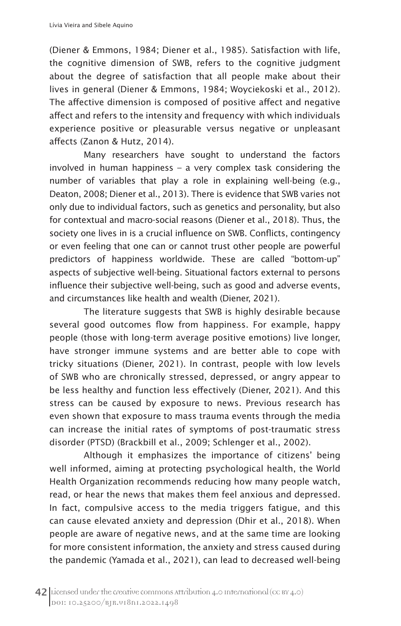(Diener & Emmons, 1984; Diener et al., 1985). Satisfaction with life, the cognitive dimension of SWB, refers to the cognitive judgment about the degree of satisfaction that all people make about their lives in general (Diener & Emmons, 1984; Woyciekoski et al., 2012). The affective dimension is composed of positive affect and negative affect and refers to the intensity and frequency with which individuals experience positive or pleasurable versus negative or unpleasant affects (Zanon & Hutz, 2014).

Many researchers have sought to understand the factors involved in human happiness – a very complex task considering the number of variables that play a role in explaining well-being (e.g., Deaton, 2008; Diener et al., 2013). There is evidence that SWB varies not only due to individual factors, such as genetics and personality, but also for contextual and macro-social reasons (Diener et al., 2018). Thus, the society one lives in is a crucial influence on SWB. Conflicts, contingency or even feeling that one can or cannot trust other people are powerful predictors of happiness worldwide. These are called "bottom-up" aspects of subjective well-being. Situational factors external to persons influence their subjective well-being, such as good and adverse events, and circumstances like health and wealth (Diener, 2021).

The literature suggests that SWB is highly desirable because several good outcomes flow from happiness. For example, happy people (those with long-term average positive emotions) live longer, have stronger immune systems and are better able to cope with tricky situations (Diener, 2021). In contrast, people with low levels of SWB who are chronically stressed, depressed, or angry appear to be less healthy and function less effectively (Diener, 2021). And this stress can be caused by exposure to news. Previous research has even shown that exposure to mass trauma events through the media can increase the initial rates of symptoms of post-traumatic stress disorder (PTSD) (Brackbill et al., 2009; Schlenger et al., 2002).

Although it emphasizes the importance of citizens' being well informed, aiming at protecting psychological health, the World Health Organization recommends reducing how many people watch, read, or hear the news that makes them feel anxious and depressed. In fact, compulsive access to the media triggers fatigue, and this can cause elevated anxiety and depression (Dhir et al., 2018). When people are aware of negative news, and at the same time are looking for more consistent information, the anxiety and stress caused during the pandemic (Yamada et al., 2021), can lead to decreased well-being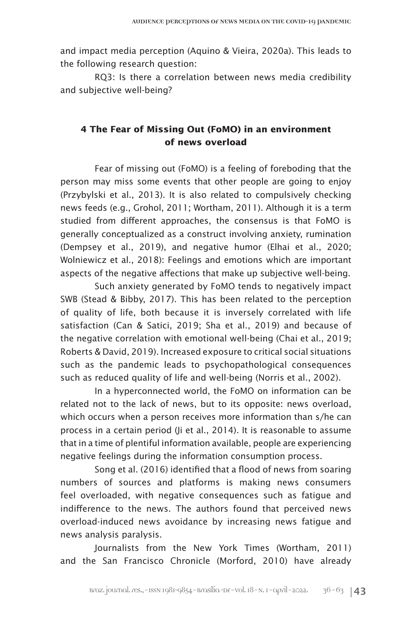and impact media perception (Aquino & Vieira, 2020a). This leads to the following research question:

RQ3: Is there a correlation between news media credibility and subjective well-being?

## **4 The Fear of Missing Out (FoMO) in an environment of news overload**

Fear of missing out (FoMO) is a feeling of foreboding that the person may miss some events that other people are going to enjoy (Przybylski et al., 2013). It is also related to compulsively checking news feeds (e.g., Grohol, 2011; Wortham, 2011). Although it is a term studied from different approaches, the consensus is that FoMO is generally conceptualized as a construct involving anxiety, rumination (Dempsey et al., 2019), and negative humor (Elhai et al., 2020; Wolniewicz et al., 2018): Feelings and emotions which are important aspects of the negative affections that make up subjective well-being.

Such anxiety generated by FoMO tends to negatively impact SWB (Stead & Bibby, 2017). This has been related to the perception of quality of life, both because it is inversely correlated with life satisfaction (Can & Satici, 2019; Sha et al., 2019) and because of the negative correlation with emotional well-being (Chai et al., 2019; Roberts & David, 2019). Increased exposure to critical social situations such as the pandemic leads to psychopathological consequences such as reduced quality of life and well-being (Norris et al., 2002).

In a hyperconnected world, the FoMO on information can be related not to the lack of news, but to its opposite: news overload, which occurs when a person receives more information than s/he can process in a certain period (Ji et al., 2014). It is reasonable to assume that in a time of plentiful information available, people are experiencing negative feelings during the information consumption process.

Song et al. (2016) identified that a flood of news from soaring numbers of sources and platforms is making news consumers feel overloaded, with negative consequences such as fatigue and indifference to the news. The authors found that perceived news overload-induced news avoidance by increasing news fatigue and news analysis paralysis.

Journalists from the New York Times (Wortham, 2011) and the San Francisco Chronicle (Morford, 2010) have already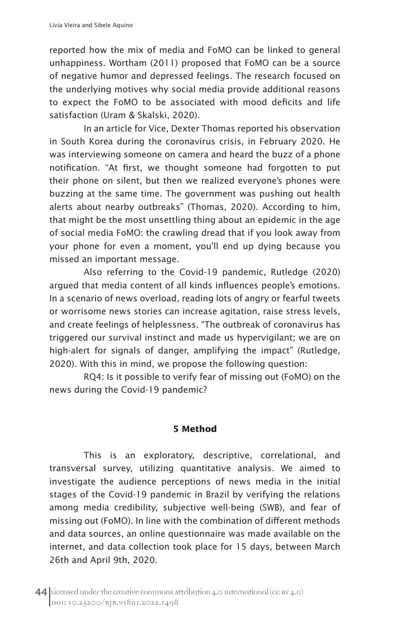reported how the mix of media and FoMO can be linked to general unhappiness. Wortham (2011) proposed that FoMO can be a source of negative humor and depressed feelings. The research focused on the underlying motives why social media provide additional reasons to expect the FoMO to be associated with mood deficits and life satisfaction (Uram & Skalski, 2020).

In an article for Vice, Dexter Thomas reported his observation in South Korea during the coronavirus crisis, in February 2020. He was interviewing someone on camera and heard the buzz of a phone notification. "At first, we thought someone had forgotten to put their phone on silent, but then we realized everyone's phones were buzzing at the same time. The government was pushing out health alerts about nearby outbreaks" (Thomas, 2020). According to him, that might be the most unsettling thing about an epidemic in the age of social media FoMO: the crawling dread that if you look away from your phone for even a moment, you'll end up dying because you missed an important message.

Also referring to the Covid-19 pandemic, Rutledge (2020) argued that media content of all kinds influences people's emotions. In a scenario of news overload, reading lots of angry or fearful tweets or worrisome news stories can increase agitation, raise stress levels, and create feelings of helplessness. "The outbreak of coronavirus has triggered our survival instinct and made us hypervigilant; we are on high-alert for signals of danger, amplifying the impact" (Rutledge, 2020). With this in mind, we propose the following question:

RQ4: Is it possible to verify fear of missing out (FoMO) on the news during the Covid-19 pandemic?

## **5 Method**

This is an exploratory, descriptive, correlational, and transversal survey, utilizing quantitative analysis. We aimed to investigate the audience perceptions of news media in the initial stages of the Covid-19 pandemic in Brazil by verifying the relations among media credibility, subjective well-being (SWB), and fear of missing out (FoMO). In line with the combination of different methods and data sources, an online questionnaire was made available on the internet, and data collection took place for 15 days, between March 26th and April 9th, 2020.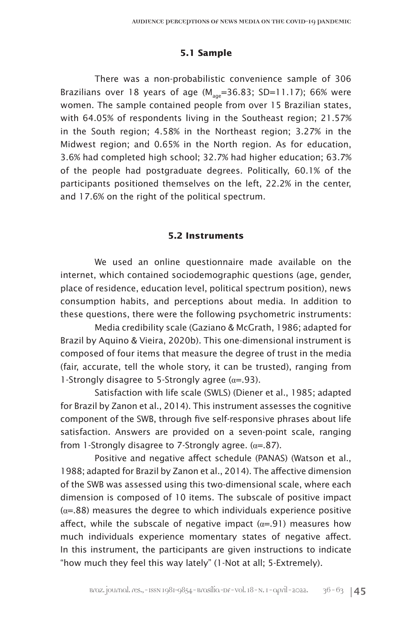## **5.1 Sample**

There was a non-probabilistic convenience sample of 306 Brazilians over 18 years of age  $(M_{\text{gas}}=36.83; SD=11.17)$ ; 66% were women. The sample contained people from over 15 Brazilian states, with 64.05% of respondents living in the Southeast region; 21.57% in the South region; 4.58% in the Northeast region; 3.27% in the Midwest region; and 0.65% in the North region. As for education, 3.6% had completed high school; 32.7% had higher education; 63.7% of the people had postgraduate degrees. Politically, 60.1% of the participants positioned themselves on the left, 22.2% in the center, and 17.6% on the right of the political spectrum.

### **5.2 Instruments**

We used an online questionnaire made available on the internet, which contained sociodemographic questions (age, gender, place of residence, education level, political spectrum position), news consumption habits, and perceptions about media. In addition to these questions, there were the following psychometric instruments:

Media credibility scale (Gaziano & McGrath, 1986; adapted for Brazil by Aquino & Vieira, 2020b). This one-dimensional instrument is composed of four items that measure the degree of trust in the media (fair, accurate, tell the whole story, it can be trusted), ranging from 1-Strongly disagree to 5-Strongly agree  $(\alpha = .93)$ .

Satisfaction with life scale (SWLS) (Diener et al., 1985; adapted for Brazil by Zanon et al., 2014). This instrument assesses the cognitive component of the SWB, through five self-responsive phrases about life satisfaction. Answers are provided on a seven-point scale, ranging from 1-Strongly disagree to 7-Strongly agree.  $(\alpha = .87)$ .

Positive and negative affect schedule (PANAS) (Watson et al., 1988; adapted for Brazil by Zanon et al., 2014). The affective dimension of the SWB was assessed using this two-dimensional scale, where each dimension is composed of 10 items. The subscale of positive impact  $(\alpha = 0.88)$  measures the degree to which individuals experience positive affect, while the subscale of negative impact  $(a=01)$  measures how much individuals experience momentary states of negative affect. In this instrument, the participants are given instructions to indicate "how much they feel this way lately" (1-Not at all; 5-Extremely).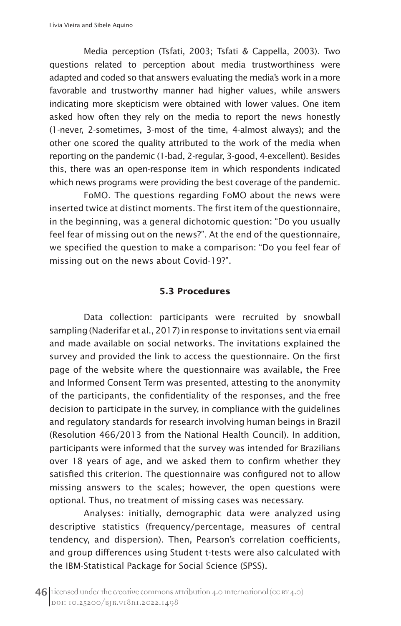Media perception (Tsfati, 2003; Tsfati & Cappella, 2003). Two questions related to perception about media trustworthiness were adapted and coded so that answers evaluating the media's work in a more favorable and trustworthy manner had higher values, while answers indicating more skepticism were obtained with lower values. One item asked how often they rely on the media to report the news honestly (1-never, 2-sometimes, 3-most of the time, 4-almost always); and the other one scored the quality attributed to the work of the media when reporting on the pandemic (1-bad, 2-regular, 3-good, 4-excellent). Besides this, there was an open-response item in which respondents indicated which news programs were providing the best coverage of the pandemic.

FoMO. The questions regarding FoMO about the news were inserted twice at distinct moments. The first item of the questionnaire, in the beginning, was a general dichotomic question: "Do you usually feel fear of missing out on the news?". At the end of the questionnaire, we specified the question to make a comparison: "Do you feel fear of missing out on the news about Covid-19?".

#### **5.3 Procedures**

Data collection: participants were recruited by snowball sampling (Naderifar et al., 2017) in response to invitations sent via email and made available on social networks. The invitations explained the survey and provided the link to access the questionnaire. On the first page of the website where the questionnaire was available, the Free and Informed Consent Term was presented, attesting to the anonymity of the participants, the confidentiality of the responses, and the free decision to participate in the survey, in compliance with the guidelines and regulatory standards for research involving human beings in Brazil (Resolution 466/2013 from the National Health Council). In addition, participants were informed that the survey was intended for Brazilians over 18 years of age, and we asked them to confirm whether they satisfied this criterion. The questionnaire was configured not to allow missing answers to the scales; however, the open questions were optional. Thus, no treatment of missing cases was necessary.

Analyses: initially, demographic data were analyzed using descriptive statistics (frequency/percentage, measures of central tendency, and dispersion). Then, Pearson's correlation coefficients, and group differences using Student t-tests were also calculated with the IBM-Statistical Package for Social Science (SPSS).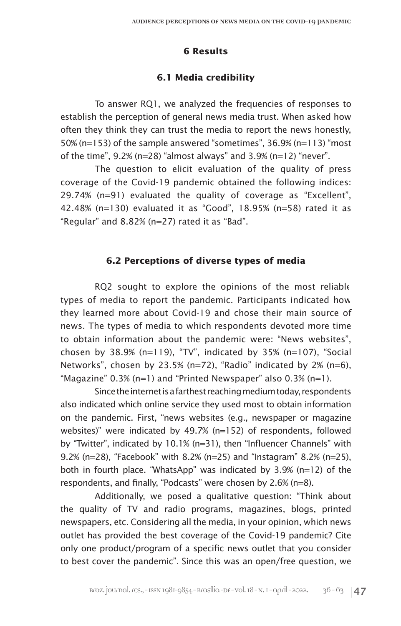## **6 Results**

## **6.1 Media credibility**

To answer RQ1, we analyzed the frequencies of responses to establish the perception of general news media trust. When asked how often they think they can trust the media to report the news honestly, 50% (n=153) of the sample answered "sometimes", 36.9% (n=113) "most of the time", 9.2% (n=28) "almost always" and 3.9% (n=12) "never".

The question to elicit evaluation of the quality of press coverage of the Covid-19 pandemic obtained the following indices: 29.74% (n=91) evaluated the quality of coverage as "Excellent", 42.48% (n=130) evaluated it as "Good", 18.95% (n=58) rated it as "Regular" and 8.82% (n=27) rated it as "Bad".

## **6.2 Perceptions of diverse types of media**

RQ2 sought to explore the opinions of the most reliable types of media to report the pandemic. Participants indicated how they learned more about Covid-19 and chose their main source of news. The types of media to which respondents devoted more time to obtain information about the pandemic were: "News websites", chosen by  $38.9\%$  (n=119), "TV", indicated by  $35\%$  (n=107), "Social Networks", chosen by 23.5% (n=72), "Radio" indicated by 2% (n=6), "Magazine"  $0.3\%$  (n=1) and "Printed Newspaper" also  $0.3\%$  (n=1).

Since the internet is a farthest reaching medium today, respondents also indicated which online service they used most to obtain information on the pandemic. First, "news websites (e.g., newspaper or magazine websites)" were indicated by 49.7% (n=152) of respondents, followed by "Twitter", indicated by 10.1% (n=31), then "Influencer Channels" with 9.2% (n=28), "Facebook" with 8.2% (n=25) and "Instagram" 8.2% (n=25), both in fourth place. "WhatsApp" was indicated by 3.9% (n=12) of the respondents, and finally, "Podcasts" were chosen by 2.6% (n=8).

Additionally, we posed a qualitative question: "Think about the quality of TV and radio programs, magazines, blogs, printed newspapers, etc. Considering all the media, in your opinion, which news outlet has provided the best coverage of the Covid-19 pandemic? Cite only one product/program of a specific news outlet that you consider to best cover the pandemic". Since this was an open/free question, we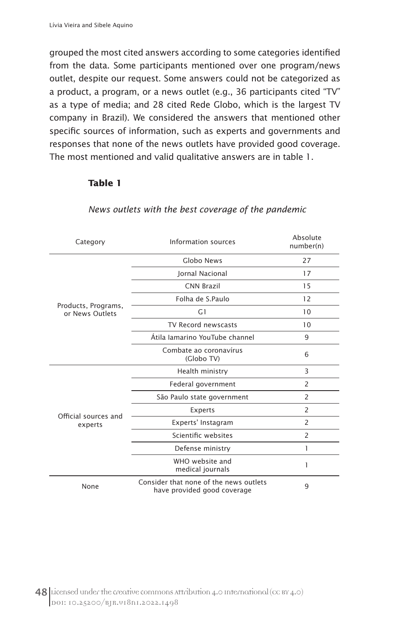grouped the most cited answers according to some categories identified from the data. Some participants mentioned over one program/news outlet, despite our request. Some answers could not be categorized as a product, a program, or a news outlet (e.g., 36 participants cited "TV" as a type of media; and 28 cited Rede Globo, which is the largest TV company in Brazil). We considered the answers that mentioned other specific sources of information, such as experts and governments and responses that none of the news outlets have provided good coverage. The most mentioned and valid qualitative answers are in table 1.

#### **Table 1**

| Category                               | Information sources                  |                |  |  |  |
|----------------------------------------|--------------------------------------|----------------|--|--|--|
| Products, Programs,<br>or News Outlets | Globo News                           | 27             |  |  |  |
|                                        | Jornal Nacional                      | 17             |  |  |  |
|                                        | <b>CNN Brazil</b>                    | 15             |  |  |  |
|                                        | Folha de S.Paulo                     | 12             |  |  |  |
|                                        | G <sub>1</sub>                       | 10             |  |  |  |
|                                        | TV Record newscasts                  | 10             |  |  |  |
|                                        | Átila Iamarino YouTube channel       | 9              |  |  |  |
|                                        | Combate ao coronavírus<br>(Globo TV) | 6              |  |  |  |
|                                        | Health ministry                      | 3              |  |  |  |
|                                        | Federal government                   | $\overline{2}$ |  |  |  |
|                                        | São Paulo state government           | 2              |  |  |  |
| Official sources and                   | Experts                              | 2              |  |  |  |
| experts                                | Experts' Instagram                   | $\overline{2}$ |  |  |  |
|                                        | Scientific websites                  | $\overline{2}$ |  |  |  |
|                                        | Defense ministry                     | 1              |  |  |  |
|                                        | WHO website and<br>medical journals  | 1              |  |  |  |
| None                                   | 9                                    |                |  |  |  |

#### *News outlets with the best coverage of the pandemic*

48 Licensed under the creative commons attribution 4.0 International (cc BY 4.0) DOI: 10.25200/BJR.v18n1.2022.1498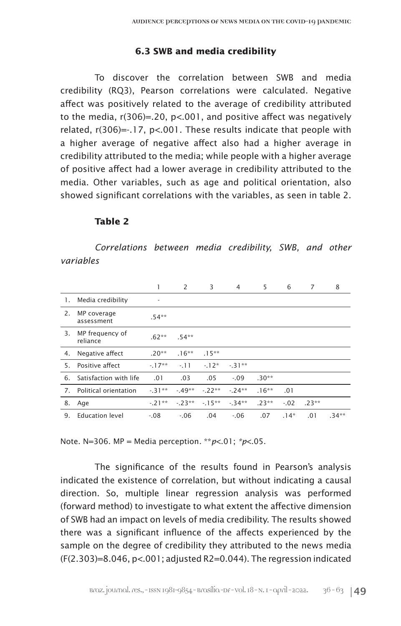#### **6.3 SWB and media credibility**

To discover the correlation between SWB and media credibility (RQ3), Pearson correlations were calculated. Negative affect was positively related to the average of credibility attributed to the media, r(306)=.20, p<.001, and positive affect was negatively related, r(306)=-.17, p<.001. These results indicate that people with a higher average of negative affect also had a higher average in credibility attributed to the media; while people with a higher average of positive affect had a lower average in credibility attributed to the media. Other variables, such as age and political orientation, also showed significant correlations with the variables, as seen in table 2.

### **Table 2**

*Correlations between media credibility, SWB, and other variables*

|    |                             | 1        | 2        | 3        | 4       | 5        | 6       | 7       | 8        |
|----|-----------------------------|----------|----------|----------|---------|----------|---------|---------|----------|
| 1. | Media credibility           | ٠        |          |          |         |          |         |         |          |
| 2. | MP coverage<br>assessment   | $.54***$ |          |          |         |          |         |         |          |
| 3. | MP frequency of<br>reliance | $.62**$  | $.54***$ |          |         |          |         |         |          |
| 4. | Negative affect             | $.20**$  | $.16**$  | $.15***$ |         |          |         |         |          |
| 5. | Positive affect             | $-17**$  | $-11$    | $-12*$   | $-31**$ |          |         |         |          |
| 6. | Satisfaction with life      | .01      | .03      | .05      | $-.09$  | $.30**$  |         |         |          |
| 7. | Political orientation       | $-31**$  | $-49**$  | $-.22**$ | $-24**$ | $.16***$ | .01     |         |          |
| 8. | Age                         | $-21**$  | $-23**$  | $-15**$  | $-34**$ | $.23**$  | $-0.02$ | $.23**$ |          |
| 9. | <b>Education level</b>      | $-.08$   | $-0.06$  | .04      | $-.06$  | .07      | $.14*$  | .01     | $.34***$ |

Note. N=306. MP = Media perception*.* \*\**p*<.01; *\*p*<.05.

The significance of the results found in Pearson's analysis indicated the existence of correlation, but without indicating a causal direction. So, multiple linear regression analysis was performed (forward method) to investigate to what extent the affective dimension of SWB had an impact on levels of media credibility. The results showed there was a significant influence of the affects experienced by the sample on the degree of credibility they attributed to the news media (F(2.303)=8.046, p<.001; adjusted R2=0.044). The regression indicated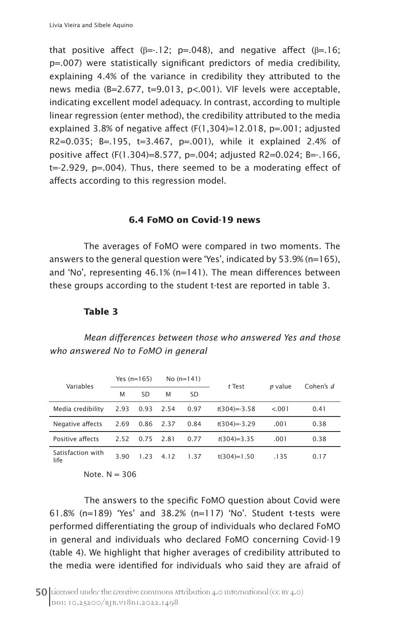that positive affect ( $\beta = -12$ ; p=.048), and negative affect ( $\beta = -16$ ; p=.007) were statistically significant predictors of media credibility, explaining 4.4% of the variance in credibility they attributed to the news media (B=2.677, t=9.013, p<.001). VIF levels were acceptable, indicating excellent model adequacy. In contrast, according to multiple linear regression (enter method), the credibility attributed to the media explained 3.8% of negative affect  $(F(1,304)=12.018, p=.001;$  adjusted R2=0.035; B=.195, t=3.467, p=.001), while it explained 2.4% of positive affect (F(1.304)=8.577, p=.004; adjusted R2=0.024; B=-.166, t=-2.929, p=.004). Thus, there seemed to be a moderating effect of affects according to this regression model.

#### **6.4 FoMO on Covid-19 news**

The averages of FoMO were compared in two moments. The answers to the general question were 'Yes', indicated by 53.9% (n=165), and 'No', representing 46.1% (n=141). The mean differences between these groups according to the student t-test are reported in table 3.

#### **Table 3**

*Mean differences between those who answered Yes and those who answered No to FoMO in general*

| Variables                 | Yes $(n=165)$ |      | No $(n=141)$ |           | t Test           | p value | Cohen's d |
|---------------------------|---------------|------|--------------|-----------|------------------|---------|-----------|
|                           | M             | SD   | M            | <b>SD</b> |                  |         |           |
| Media credibility         | 2.93          | 0.93 | 2.54         | 0.97      | $t(304) = -3.58$ | < 0.01  | 0.41      |
| Negative affects          | 2.69          | 0.86 | 2.37         | 0.84      | $t(304)=-3.29$   | .001    | 0.38      |
| Positive affects          | 2.52          | 0.75 | 2.81         | 0.77      | $t(304)=3.35$    | .001    | 0.38      |
| Satisfaction with<br>life | 3.90          | 1.23 | 4.12         | 1.37      | $t(304)=1.50$    | .135    | 0.17      |
| .                         | ---           |      |              |           |                  |         |           |

Note.  $N = 306$ 

The answers to the specific FoMO question about Covid were 61.8% (n=189) 'Yes' and 38.2% (n=117) 'No'. Student t-tests were performed differentiating the group of individuals who declared FoMO in general and individuals who declared FoMO concerning Covid-19 (table 4). We highlight that higher averages of credibility attributed to the media were identified for individuals who said they are afraid of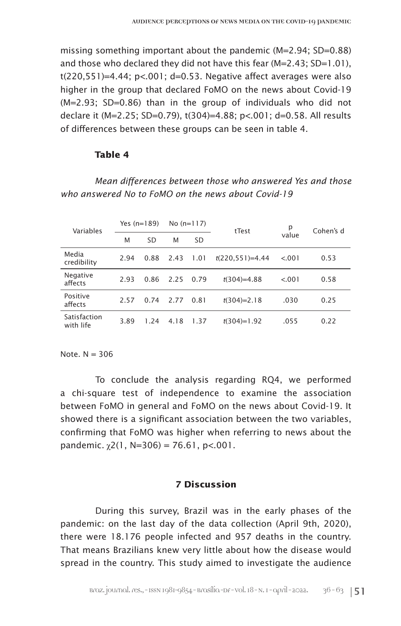missing something important about the pandemic (M=2.94; SD=0.88) and those who declared they did not have this fear (M=2.43; SD=1.01),  $t(220,551)=4.44$ ;  $p<.001$ ; d=0.53. Negative affect averages were also higher in the group that declared FoMO on the news about Covid-19 (M=2.93; SD=0.86) than in the group of individuals who did not declare it (M=2.25; SD=0.79), t(304)=4.88; p<.001; d=0.58. All results of differences between these groups can be seen in table 4.

#### **Table 4**

## *Mean differences between those who answered Yes and those who answered No to FoMO on the news about Covid-19*

| Variables                 | Yes $(n=189)$ |      | No $(n=117)$ |      | tTest             | р      | Cohen's d |
|---------------------------|---------------|------|--------------|------|-------------------|--------|-----------|
|                           | M             | SD   | M            | SD   |                   | value  |           |
| Media<br>credibility      | 2.94          | 0.88 | 2.43         | 1.01 | $t(220.551)=4.44$ | < 0.01 | 0.53      |
| Negative<br>affects       | 2.93          | 0.86 | 2.25         | 0.79 | $t(304)=4.88$     | < 0.01 | 0.58      |
| Positive<br>affects       | 2.57          | 0.74 | 2.77         | 0.81 | $t(304)=2.18$     | .030   | 0.25      |
| Satisfaction<br>with life | 3.89          | 1.24 | 4.18         | 1.37 | $t(304)=1.92$     | .055   | 0.22      |

Note  $N = 306$ 

To conclude the analysis regarding RQ4, we performed a chi-square test of independence to examine the association between FoMO in general and FoMO on the news about Covid-19. It showed there is a significant association between the two variables, confirming that FoMO was higher when referring to news about the pandemic.  $\gamma$ 2(1, N=306) = 76.61, p<.001.

## **7 Discussion**

During this survey, Brazil was in the early phases of the pandemic: on the last day of the data collection (April 9th, 2020), there were 18.176 people infected and 957 deaths in the country. That means Brazilians knew very little about how the disease would spread in the country. This study aimed to investigate the audience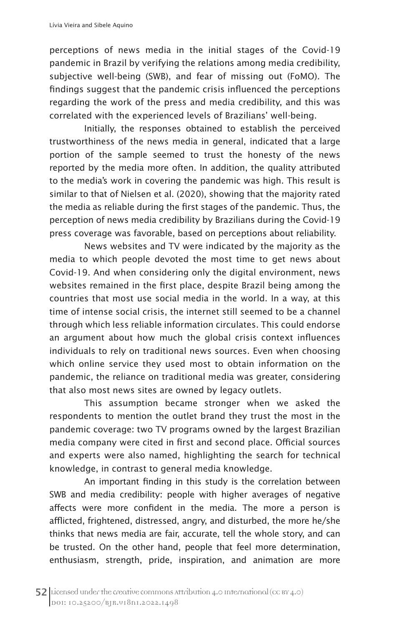perceptions of news media in the initial stages of the Covid-19 pandemic in Brazil by verifying the relations among media credibility, subjective well-being (SWB), and fear of missing out (FoMO). The findings suggest that the pandemic crisis influenced the perceptions regarding the work of the press and media credibility, and this was correlated with the experienced levels of Brazilians' well-being.

Initially, the responses obtained to establish the perceived trustworthiness of the news media in general, indicated that a large portion of the sample seemed to trust the honesty of the news reported by the media more often. In addition, the quality attributed to the media's work in covering the pandemic was high. This result is similar to that of Nielsen et al. (2020), showing that the majority rated the media as reliable during the first stages of the pandemic. Thus, the perception of news media credibility by Brazilians during the Covid-19 press coverage was favorable, based on perceptions about reliability.

News websites and TV were indicated by the majority as the media to which people devoted the most time to get news about Covid-19. And when considering only the digital environment, news websites remained in the first place, despite Brazil being among the countries that most use social media in the world. In a way, at this time of intense social crisis, the internet still seemed to be a channel through which less reliable information circulates. This could endorse an argument about how much the global crisis context influences individuals to rely on traditional news sources. Even when choosing which online service they used most to obtain information on the pandemic, the reliance on traditional media was greater, considering that also most news sites are owned by legacy outlets.

This assumption became stronger when we asked the respondents to mention the outlet brand they trust the most in the pandemic coverage: two TV programs owned by the largest Brazilian media company were cited in first and second place. Official sources and experts were also named, highlighting the search for technical knowledge, in contrast to general media knowledge.

An important finding in this study is the correlation between SWB and media credibility: people with higher averages of negative affects were more confident in the media. The more a person is afflicted, frightened, distressed, angry, and disturbed, the more he/she thinks that news media are fair, accurate, tell the whole story, and can be trusted. On the other hand, people that feel more determination, enthusiasm, strength, pride, inspiration, and animation are more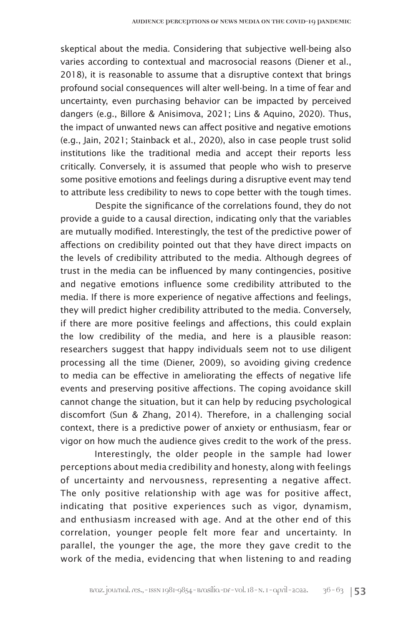skeptical about the media. Considering that subjective well-being also varies according to contextual and macrosocial reasons (Diener et al., 2018), it is reasonable to assume that a disruptive context that brings profound social consequences will alter well-being. In a time of fear and uncertainty, even purchasing behavior can be impacted by perceived dangers (e.g., Billore & Anisimova, 2021; Lins & Aquino, 2020). Thus, the impact of unwanted news can affect positive and negative emotions (e.g., Jain, 2021; Stainback et al., 2020), also in case people trust solid institutions like the traditional media and accept their reports less critically. Conversely, it is assumed that people who wish to preserve some positive emotions and feelings during a disruptive event may tend to attribute less credibility to news to cope better with the tough times.

Despite the significance of the correlations found, they do not provide a guide to a causal direction, indicating only that the variables are mutually modified. Interestingly, the test of the predictive power of affections on credibility pointed out that they have direct impacts on the levels of credibility attributed to the media. Although degrees of trust in the media can be influenced by many contingencies, positive and negative emotions influence some credibility attributed to the media. If there is more experience of negative affections and feelings, they will predict higher credibility attributed to the media. Conversely, if there are more positive feelings and affections, this could explain the low credibility of the media, and here is a plausible reason: researchers suggest that happy individuals seem not to use diligent processing all the time (Diener, 2009), so avoiding giving credence to media can be effective in ameliorating the effects of negative life events and preserving positive affections. The coping avoidance skill cannot change the situation, but it can help by reducing psychological discomfort (Sun & Zhang, 2014). Therefore, in a challenging social context, there is a predictive power of anxiety or enthusiasm, fear or vigor on how much the audience gives credit to the work of the press.

Interestingly, the older people in the sample had lower perceptions about media credibility and honesty, along with feelings of uncertainty and nervousness, representing a negative affect. The only positive relationship with age was for positive affect, indicating that positive experiences such as vigor, dynamism, and enthusiasm increased with age. And at the other end of this correlation, younger people felt more fear and uncertainty. In parallel, the younger the age, the more they gave credit to the work of the media, evidencing that when listening to and reading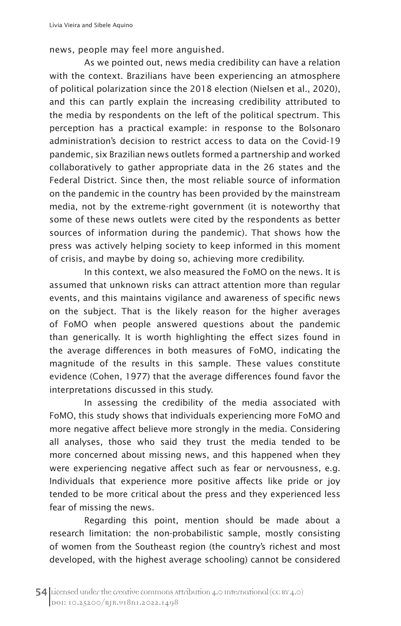news, people may feel more anguished.

As we pointed out, news media credibility can have a relation with the context. Brazilians have been experiencing an atmosphere of political polarization since the 2018 election (Nielsen et al., 2020), and this can partly explain the increasing credibility attributed to the media by respondents on the left of the political spectrum. This perception has a practical example: in response to the Bolsonaro administration's decision to restrict access to data on the Covid-19 pandemic, six Brazilian news outlets formed a partnership and worked collaboratively to gather appropriate data in the 26 states and the Federal District. Since then, the most reliable source of information on the pandemic in the country has been provided by the mainstream media, not by the extreme-right government (it is noteworthy that some of these news outlets were cited by the respondents as better sources of information during the pandemic). That shows how the press was actively helping society to keep informed in this moment of crisis, and maybe by doing so, achieving more credibility.

In this context, we also measured the FoMO on the news. It is assumed that unknown risks can attract attention more than regular events, and this maintains vigilance and awareness of specific news on the subject. That is the likely reason for the higher averages of FoMO when people answered questions about the pandemic than generically. It is worth highlighting the effect sizes found in the average differences in both measures of FoMO, indicating the magnitude of the results in this sample. These values constitute evidence (Cohen, 1977) that the average differences found favor the interpretations discussed in this study.

In assessing the credibility of the media associated with FoMO, this study shows that individuals experiencing more FoMO and more negative affect believe more strongly in the media. Considering all analyses, those who said they trust the media tended to be more concerned about missing news, and this happened when they were experiencing negative affect such as fear or nervousness, e.g. Individuals that experience more positive affects like pride or joy tended to be more critical about the press and they experienced less fear of missing the news.

Regarding this point, mention should be made about a research limitation: the non-probabilistic sample, mostly consisting of women from the Southeast region (the country's richest and most developed, with the highest average schooling) cannot be considered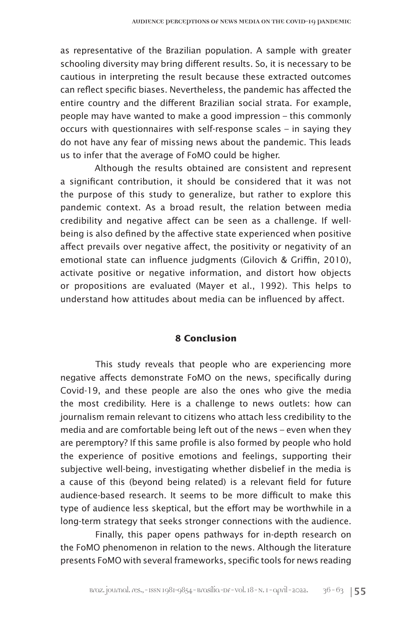as representative of the Brazilian population. A sample with greater schooling diversity may bring different results. So, it is necessary to be cautious in interpreting the result because these extracted outcomes can reflect specific biases. Nevertheless, the pandemic has affected the entire country and the different Brazilian social strata. For example, people may have wanted to make a good impression – this commonly occurs with questionnaires with self-response scales – in saying they do not have any fear of missing news about the pandemic. This leads us to infer that the average of FoMO could be higher.

Although the results obtained are consistent and represent a significant contribution, it should be considered that it was not the purpose of this study to generalize, but rather to explore this pandemic context. As a broad result, the relation between media credibility and negative affect can be seen as a challenge. If wellbeing is also defined by the affective state experienced when positive affect prevails over negative affect, the positivity or negativity of an emotional state can influence judgments (Gilovich & Griffin, 2010), activate positive or negative information, and distort how objects or propositions are evaluated (Mayer et al., 1992). This helps to understand how attitudes about media can be influenced by affect.

## **8 Conclusion**

This study reveals that people who are experiencing more negative affects demonstrate FoMO on the news, specifically during Covid-19, and these people are also the ones who give the media the most credibility. Here is a challenge to news outlets: how can journalism remain relevant to citizens who attach less credibility to the media and are comfortable being left out of the news – even when they are peremptory? If this same profile is also formed by people who hold the experience of positive emotions and feelings, supporting their subjective well-being, investigating whether disbelief in the media is a cause of this (beyond being related) is a relevant field for future audience-based research. It seems to be more difficult to make this type of audience less skeptical, but the effort may be worthwhile in a long-term strategy that seeks stronger connections with the audience.

Finally, this paper opens pathways for in-depth research on the FoMO phenomenon in relation to the news. Although the literature presents FoMO with several frameworks, specific tools for news reading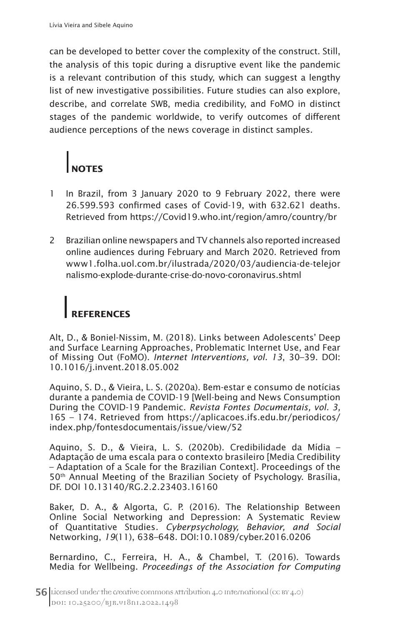can be developed to better cover the complexity of the construct. Still, the analysis of this topic during a disruptive event like the pandemic is a relevant contribution of this study, which can suggest a lengthy list of new investigative possibilities. Future studies can also explore, describe, and correlate SWB, media credibility, and FoMO in distinct stages of the pandemic worldwide, to verify outcomes of different audience perceptions of the news coverage in distinct samples.

# **NOTES**

- 1 In Brazil, from 3 January 2020 to 9 February 2022, there were 26.599.593 confirmed cases of Covid-19, with 632.621 deaths. Retrieved from https://Covid19.who.int/region/amro/country/br
- 2 Brazilian online newspapers and TV channels also reported increased online audiences during February and March 2020. Retrieved from www1.folha.uol.com.br/ilustrada/2020/03/audiencia-de-telejor nalismo-explode-durante-crise-do-novo-coronavirus.shtml

## **REFERENCES**

Alt, D., & Boniel-Nissim, M. (2018). Links between Adolescents' Deep and Surface Learning Approaches, Problematic Internet Use, and Fear of Missing Out (FoMO). *Internet Interventions, vol. 13*, 30–39. DOI: 10.1016/j.invent.2018.05.002

Aquino, S. D., & Vieira, L. S. (2020a). Bem-estar e consumo de notícias durante a pandemia de COVID-19 [Well-being and News Consumption During the COVID-19 Pandemic. *Revista Fontes Documentais, vol. 3,*  165 – 174*.* Retrieved from https://aplicacoes.ifs.edu.br/periodicos/ index.php/fontesdocumentais/issue/view/52

Aquino, S. D., & Vieira, L. S. (2020b). Credibilidade da Mídia – Adaptação de uma escala para o contexto brasileiro [Media Credibility – Adaptation of a Scale for the Brazilian Context]*.* Proceedings of the 50<sup>th</sup> Annual Meeting of the Brazilian Society of Psychology. Brasília, DF. DOI 10.13140/RG.2.2.23403.16160

Baker, D. A., & Algorta, G. P. (2016). The Relationship Between Online Social Networking and Depression: A Systematic Review of Quantitative Studies*. Cyberpsychology, Behavior, and Social*  Networking, *19*(11), 638–648. DOI:10.1089/cyber.2016.0206

Bernardino, C., Ferreira, H. A., & Chambel, T. (2016). Towards Media for Wellbeing. *Proceedings of the Association for Computing*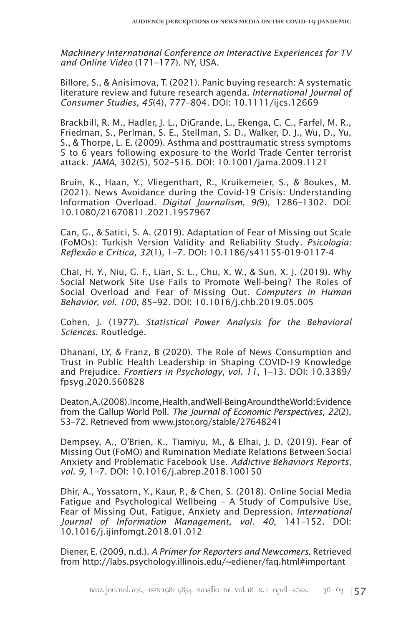*Machinery International Conference on Interactive Experiences for TV and Online Video* (171–177). NY, USA.

Billore, S., & Anisimova, T. (2021). Panic buying research: A systematic literature review and future research agenda. *International Journal of Consumer Studies, 45*(4), 777–804. DOI: 10.1111/ijcs.12669

Brackbill, R. M., Hadler, J. L., DiGrande, L., Ekenga, C. C., Farfel, M. R., Friedman, S., Perlman, S. E., Stellman, S. D., Walker, D. J., Wu, D., Yu, S., & Thorpe, L. E. (2009). Asthma and posttraumatic stress symptoms 5 to 6 years following exposure to the World Trade Center terrorist attack. *JAMA*, 302(5), 502–516. DOI: 10.1001/jama.2009.1121

Bruin, K., Haan, Y., Vliegenthart, R., Kruikemeier, S., & Boukes, M. (2021). News Avoidance during the Covid-19 Crisis: Understanding Information Overload. *Digital Journalism, 9(*9), 1286–1302. DOI: 10.1080/21670811.2021.1957967

Can, G., & Satici, S. A. (2019). Adaptation of Fear of Missing out Scale (FoMOs): Turkish Version Validity and Reliability Study*. Psicologia: Reflexão e Crítica, 32*(1), 1–7*.* DOI: 10.1186/s41155-019-0117-4

Chai, H. Y., Niu, G. F., Lian, S. L., Chu, X. W., & Sun, X. J. (2019). Why Social Network Site Use Fails to Promote Well-being? The Roles of Social Overload and Fear of Missing Out*. Computers in Human Behavior, vol. 100,* 85–92*.* DOI: 10.1016/j.chb.2019.05.005

Cohen, J. (1977). *Statistical Power Analysis for the Behavioral Sciences*. Routledge.

Dhanani, LY, & Franz, B (2020). The Role of News Consumption and Trust in Public Health Leadership in Shaping COVID-19 Knowledge and Prejudice. *Frontiers in Psychology*, *vol. 11*, 1–13. DOI: 10.3389/ fpsyg.2020.560828

Deaton, A. (2008). Income, Health, and Well-Being Around the World: Evidence from the Gallup World Poll. *The Journal of Economic Perspectives, 22*(2), 53–72. Retrieved from www.jstor.org/stable/27648241

Dempsey, A., O'Brien, K., Tiamiyu, M., & Elhai, J. D. (2019). Fear of Missing Out (FoMO) and Rumination Mediate Relations Between Social Anxiety and Problematic Facebook Use. *Addictive Behaviors Reports, vol. 9,* 1–7. DOI: 10.1016/j.abrep.2018.100150

Dhir, A., Yossatorn, Y., Kaur, P., & Chen, S. (2018). Online Social Media Fatigue and Psychological Wellbeing – A Study of Compulsive Use, Fear of Missing Out, Fatigue, Anxiety and Depression. *International Journal of Information Management*, *vol. 40*, 141–152. DOI: 10.1016/j.ijinfomgt.2018.01.012

Diener, E. (2009, n.d.). *A Primer for Reporters and Newcomers*. Retrieved from http://labs.psychology.illinois.edu/~ediener/faq.html#important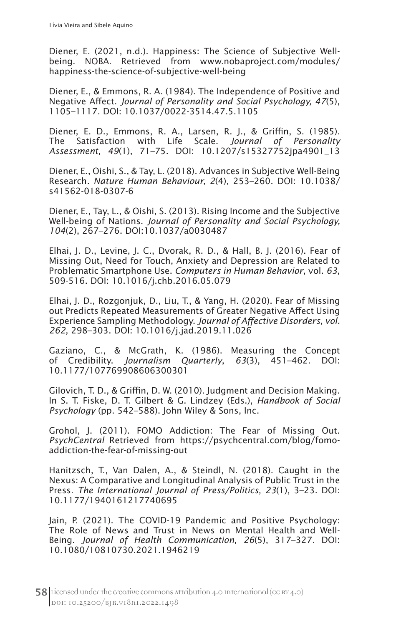Diener, E. (2021, n.d.). Happiness: The Science of Subjective Wellbeing. NOBA. Retrieved from www.nobaproject.com/modules/ happiness-the-science-of-subjective-well-being

Diener, E., & Emmons, R. A. (1984). The Independence of Positive and Negative Affect. *Journal of Personality and Social Psychology, 47*(5), 1105–1117. DOI: 10.1037/0022-3514.47.5.1105

Diener, E. D., Emmons, R. A., Larsen, R. J., & Griffin, S. (1985). The Satisfaction with Life Scale. *Journal of Personality Assessment*, *49*(1), 71–75. DOI: 10.1207/s15327752jpa4901\_13

Diener, E., Oishi, S., & Tay, L. (2018). Advances in Subjective Well-Being Research*. Nature Human Behaviour, 2*(4), 253–260. DOI: 10.1038/ s41562-018-0307-6

Diener, E., Tay, L., & Oishi, S. (2013). Rising Income and the Subjective Well-being of Nations. *Journal of Personality and Social Psychology, 104*(2), 267–276. DOI:10.1037/a0030487

Elhai, J. D., Levine, J. C., Dvorak, R. D., & Hall, B. J. (2016). Fear of Missing Out, Need for Touch, Anxiety and Depression are Related to Problematic Smartphone Use. *Computers in Human Behavior*, vol. *63*, 509-516. DOI: 10.1016/j.chb.2016.05.079

Elhai, J. D., Rozgonjuk, D., Liu, T., & Yang, H. (2020). Fear of Missing out Predicts Repeated Measurements of Greater Negative Affect Using Experience Sampling Methodology. *Journal of Affective Disorders*, *vol. 262*, 298–303. DOI: 10.1016/j.jad.2019.11.026

Gaziano, C., & McGrath, K. (1986). Measuring the Concept of Credibility. *Journalism Quarterly*, *63*(3), 451–462. DOI: 10.1177/107769908606300301

Gilovich, T. D., & Griffin, D. W. (2010). Judgment and Decision Making. In S. T. Fiske, D. T. Gilbert & G. Lindzey (Eds.), *Handbook of Social Psychology* (pp. 542–588). John Wiley & Sons, Inc.

Grohol, J. (2011). FOMO Addiction: The Fear of Missing Out. *PsychCentral* Retrieved from https://psychcentral.com/blog/fomoaddiction-the-fear-of-missing-out

Hanitzsch, T., Van Dalen, A., & Steindl, N. (2018). Caught in the Nexus: A Comparative and Longitudinal Analysis of Public Trust in the Press. *The International Journal of Press/Politics*, *23*(1), 3–23. DOI: 10.1177/1940161217740695

Jain, P. (2021). The COVID-19 Pandemic and Positive Psychology: The Role of News and Trust in News on Mental Health and Well-Being. *Journal of Health Communication*, *26*(5), 317–327. DOI: 10.1080/10810730.2021.1946219

 $58$  Licensed under the creative commons attribution 4.0 International (cc BY 4.0) DOI: 10.25200/BJR.v18n1.2022.1498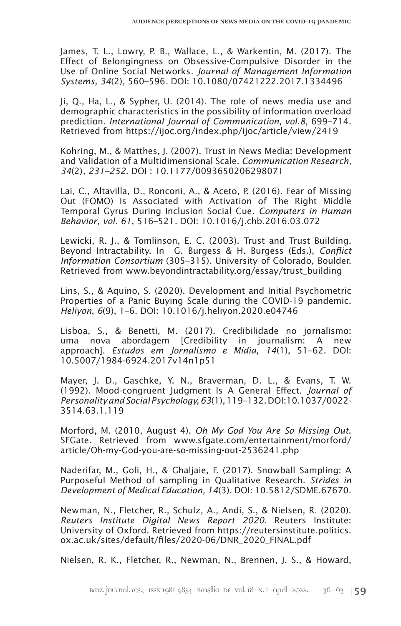James, T. L., Lowry, P. B., Wallace, L., & Warkentin, M. (2017). The Effect of Belongingness on Obsessive-Compulsive Disorder in the Use of Online Social Networks*. Journal of Management Information Systems, 34*(2)*,* 560–596*.* DOI: 10.1080/07421222.2017.1334496

Ji, Q., Ha, L., & Sypher, U. (2014). The role of news media use and demographic characteristics in the possibility of information overload prediction. *International Journal of Communication*, *vol.8*, 699–714. Retrieved from https://ijoc.org/index.php/ijoc/article/view/2419

Kohring, M., & Matthes, J. (2007). Trust in News Media: Development and Validation of a Multidimensional Scale. *Communication Research, 34*(2)*, 231–252.* DOI : 10.1177/0093650206298071

Lai, C., Altavilla, D., Ronconi, A., & Aceto, P. (2016). Fear of Missing Out (FOMO) Is Associated with Activation of The Right Middle Temporal Gyrus During Inclusion Social Cue*. Computers in Human Behavior*, *vol. 61*, 516–521*.* DOI: 10.1016/j.chb.2016.03.072

Lewicki, R. J., & Tomlinson, E. C. (2003). Trust and Trust Building. Beyond Intractability. In G. Burgess & H. Burgess (Eds.), *Conflict Information Consortium* (305–315). University of Colorado, Boulder. Retrieved from www.beyondintractability.org/essay/trust\_building

Lins, S., & Aquino, S. (2020). Development and Initial Psychometric Properties of a Panic Buying Scale during the COVID-19 pandemic. *Heliyon*, *6*(9), 1–6. DOI: 10.1016/j.heliyon.2020.e04746

Lisboa, S., & Benetti, M. (2017). Credibilidade no jornalismo: uma nova abordagem [Credibility in journalism: A new approach]. *Estudos em Jornalismo e Mídia*, *14*(1), 51–62. DOI: 10.5007/1984-6924.2017v14n1p51

Mayer, J. D., Gaschke, Y. N., Braverman, D. L., & Evans, T. W. (1992). Mood-congruent Judgment Is A General Effect. *Journal of Personality and Social Psychology, 63*(1), 119–132.DOI:10.1037/0022- 3514.63.1.119

Morford, M. (2010, August 4). *Oh My God You Are So Missing Out*. SFGate*.* Retrieved from www.sfgate.com/entertainment/morford/ article/Oh-my-God-you-are-so-missing-out-2536241.php

Naderifar, M., Goli, H., & Ghaljaie, F. (2017). Snowball Sampling: A Purposeful Method of sampling in Qualitative Research. *Strides in Development of Medical Education, 14*(3). DOI: 10.5812/SDME.67670.

Newman, N., Fletcher, R., Schulz, A., Andi, S., & Nielsen, R. (2020). *Reuters Institute Digital News Report 2020*. Reuters Institute: University of Oxford. Retrieved from https://reutersinstitute.politics. ox.ac.uk/sites/default/files/2020-06/DNR\_2020\_FINAL.pdf

Nielsen, R. K., Fletcher, R., Newman, N., Brennen, J. S., & Howard,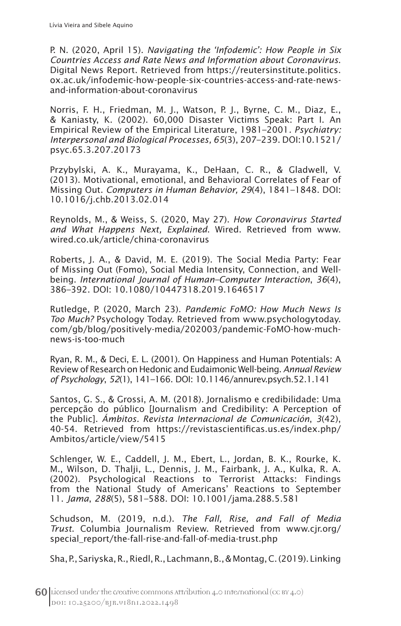P. N. (2020, April 15). *Navigating the 'Infodemic': How People in Six Countries Access and Rate News and Information about Coronavirus*. Digital News Report. Retrieved from https://reutersinstitute.politics. ox.ac.uk/infodemic-how-people-six-countries-access-and-rate-newsand-information-about-coronavirus

Norris, F. H., Friedman, M. J., Watson, P. J., Byrne, C. M., Diaz, E., & Kaniasty, K. (2002). 60,000 Disaster Victims Speak: Part I. An Empirical Review of the Empirical Literature, 1981–2001*. Psychiatry: Interpersonal and Biological Processes, 65*(3), 207–239. DOI:10.1521/ psyc.65.3.207.20173

Przybylski, A. K., Murayama, K., DeHaan, C. R., & Gladwell, V. (2013). Motivational, emotional, and Behavioral Correlates of Fear of Missing Out. *Computers in Human Behavior, 29*(4), 1841–1848. DOI: 10.1016/j.chb.2013.02.014

Reynolds, M., & Weiss, S. (2020, May 27). *How Coronavirus Started and What Happens Next, Explained*. Wired. Retrieved from www. wired.co.uk/article/china-coronavirus

Roberts, J. A., & David, M. E. (2019). The Social Media Party: Fear of Missing Out (Fomo), Social Media Intensity, Connection, and Wellbeing. *International Journal of Human–Computer Interaction*, *36*(4), 386–392. DOI: 10.1080/10447318.2019.1646517

Rutledge, P. (2020, March 23). *Pandemic FoMO: How Much News Is Too Much?* Psychology Today. Retrieved from www.psychologytoday. com/gb/blog/positively-media/202003/pandemic-FoMO-how-muchnews-is-too-much

Ryan, R. M., & Deci, E. L. (2001). On Happiness and Human Potentials: A Review of Research on Hedonic and Eudaimonic Well-being.*Annual Review of Psychology*, *52*(1), 141–166. DOI: 10.1146/annurev.psych.52.1.141

Santos, G. S., & Grossi, A. M. (2018). Jornalismo e credibilidade: Uma percepção do público [Journalism and Credibility: A Perception of the Public]. *Ámbitos. Revista Internacional de Comunicación*, *3*(42), 40-54. Retrieved from https://revistascientificas.us.es/index.php/ Ambitos/article/view/5415

Schlenger, W. E., Caddell, J. M., Ebert, L., Jordan, B. K., Rourke, K. M., Wilson, D. Thalji, L., Dennis, J. M., Fairbank, J. A., Kulka, R. A. (2002). Psychological Reactions to Terrorist Attacks: Findings from the National Study of Americans' Reactions to September 11. *Jama*, *288*(5), 581–588. DOI: 10.1001/jama.288.5.581

Schudson, M. (2019, n.d.). *The Fall, Rise, and Fall of Media Trust*. Columbia Journalism Review. Retrieved from www.cjr.org/ special\_report/the-fall-rise-and-fall-of-media-trust.php

Sha, P., Sariyska, R., Riedl, R., Lachmann, B., & Montag, C. (2019). Linking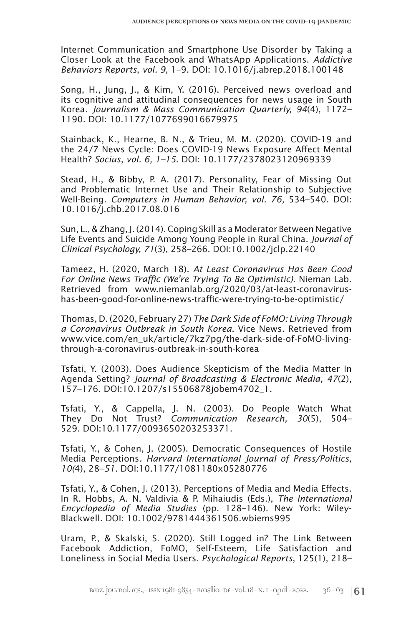Internet Communication and Smartphone Use Disorder by Taking a Closer Look at the Facebook and WhatsApp Applications. *Addictive Behaviors Reports*, *vol. 9*, 1–9. DOI: 10.1016/j.abrep.2018.100148

Song, H., Jung, J., & Kim, Y. (2016). Perceived news overload and its cognitive and attitudinal consequences for news usage in South Korea*. Journalism & Mass Communication Quarterly, 94*(4), 1172– 1190. DOI: 10.1177/1077699016679975

Stainback, K., Hearne, B. N., & Trieu, M. M. (2020). COVID-19 and the 24/7 News Cycle: Does COVID-19 News Exposure Affect Mental Health? *Socius*, *vol. 6, 1–15*. DOI: 10.1177/2378023120969339

Stead, H., & Bibby, P. A. (2017). Personality, Fear of Missing Out and Problematic Internet Use and Their Relationship to Subjective Well-Being*. Computers in Human Behavior, vol. 76,* 534–540. DOI: 10.1016/j.chb.2017.08.016

Sun, L., & Zhang, J. (2014).Coping Skill as a Moderator Between Negative Life Events and Suicide Among Young People in Rural China*. Journal of Clinical Psychology, 71*(3), 258–266. DOI:10.1002/jclp.22140

Tameez, H. (2020, March 18). *At Least Coronavirus Has Been Good For Online News Traffic (We're Trying To Be Optimistic)*. Nieman Lab. Retrieved from www.niemanlab.org/2020/03/at-least-coronavirushas-been-good-for-online-news-traffic-were-trying-to-be-optimistic/

Thomas, D. (2020, February 27) *The Dark Side of FoMO: Living Through a Coronavirus Outbreak in South Korea*. Vice News. Retrieved from www.vice.com/en\_uk/article/7kz7pg/the-dark-side-of-FoMO-livingthrough-a-coronavirus-outbreak-in-south-korea

Tsfati, Y. (2003). Does Audience Skepticism of the Media Matter In Agenda Setting? *Journal of Broadcasting & Electronic Media, 47*(2), 157–176. DOI:10.1207/s15506878jobem4702\_1.

Tsfati, Y., & Cappella, J. N. (2003). Do People Watch What They Do Not Trust? *Communication Research, 30*(5), 504– 529. DOI:10.1177/0093650203253371.

Tsfati, Y., & Cohen, J. (2005). Democratic Consequences of Hostile Media Perceptions*. Harvard International Journal of Press/Politics, 10(*4), 28–*51.* DOI:10.1177/1081180x05280776

Tsfati, Y., & Cohen, J. (2013). Perceptions of Media and Media Effects. In R. Hobbs, A. N. Valdivia & P. Mihaiudis (Eds.), *The International Encyclopedia of Media Studies* (pp. 128–146). New York: Wiley-Blackwell. DOI: 10.1002/9781444361506.wbiems995

Uram, P., & Skalski, S. (2020). Still Logged in? The Link Between Facebook Addiction, FoMO, Self-Esteem, Life Satisfaction and Loneliness in Social Media Users. *Psychological Reports*, 125(1), 218–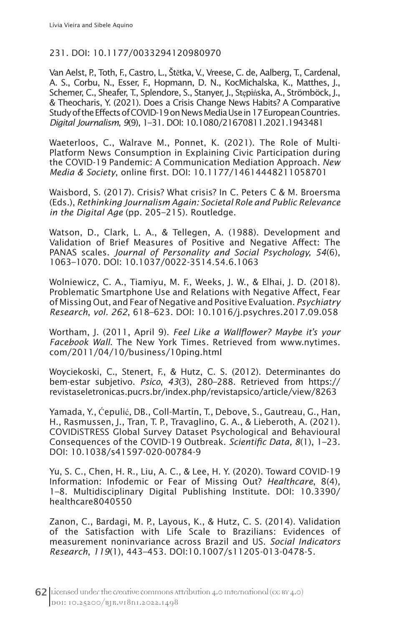## 231. DOI: 10.1177/0033294120980970

Van Aelst, P., Toth, F., Castro, L., Štětka, V., Vreese, C. de, Aalberg, T., Cardenal, A. S., Corbu, N., Esser, F., Hopmann, D. N., KocMichalska, K., Matthes, J., Schemer, C., Sheafer, T., Splendore, S., Stanyer, J., Stępińska, A., Strömböck, J., & Theocharis, Y. (2021). Does a Crisis Change News Habits? A Comparative Study of the Effects of COVID-19 on News Media Use in 17 European Countries. *Digital Journalism*, *9*(9), 1–31. DOI: 10.1080/21670811.2021.1943481

Waeterloos, C., Walrave M., Ponnet, K. (2021). The Role of Multi-Platform News Consumption in Explaining Civic Participation during the COVID-19 Pandemic: A Communication Mediation Approach. *New Media & Society*, online first. DOI: 10.1177/14614448211058701

Waisbord, S. (2017). Crisis? What crisis? In C. Peters C & M. Broersma (Eds.), *Rethinking Journalism Again: Societal Role and Public Relevance in the Digital Age* (pp. 205–215). Routledge.

Watson, D., Clark, L. A., & Tellegen, A. (1988). Development and Validation of Brief Measures of Positive and Negative Affect: The PANAS scales. *Journal of Personality and Social Psychology, 54*(6), 1063–1070*.* DOI: 10.1037/0022-3514.54.6.1063

Wolniewicz, C. A., Tiamiyu, M. F., Weeks, J. W., & Elhai, J. D. (2018). Problematic Smartphone Use and Relations with Negative Affect, Fear of Missing Out, and Fear of Negative and Positive Evaluation. *Psychiatry Research*, *vol. 262*, 618–623. DOI: 10.1016/j.psychres.2017.09.058

Wortham, J. (2011, April 9). *Feel Like a Wallflower? Maybe it's your Facebook Wall*. The New York Times*.* Retrieved from www.nytimes. com/2011/04/10/business/10ping.html

Woyciekoski, C., Stenert, F., & Hutz, C. S. (2012). Determinantes do bem-estar subjetivo. *Psico*, *43*(3), 280–288. Retrieved from https:// revistaseletronicas.pucrs.br/index.php/revistapsico/article/view/8263

Yamada, Y., Ćepulić, DB., Coll-Martín, T., Debove, S., Gautreau, G., Han, H., Rasmussen, J., Tran, T. P., Travaglino, G. A., & Lieberoth, A. (2021). COVIDiSTRESS Global Survey Dataset Psychological and Behavioural Consequences of the COVID-19 Outbreak. *Scientific Data, 8*(1), 1–23. DOI: 10.1038/s41597-020-00784-9

Yu, S. C., Chen, H. R., Liu, A. C., & Lee, H. Y. (2020). Toward COVID-19 Information: Infodemic or Fear of Missing Out? *Healthcare*, 8(4), 1–8. Multidisciplinary Digital Publishing Institute. DOI: 10.3390/ healthcare8040550

Zanon, C., Bardagi, M. P., Layous, K., & Hutz, C. S. (2014). Validation of the Satisfaction with Life Scale to Brazilians: Evidences of measurement noninvariance across Brazil and US. *Social Indicators Research*, *119*(1), 443–453. DOI:10.1007/s11205-013-0478-5.